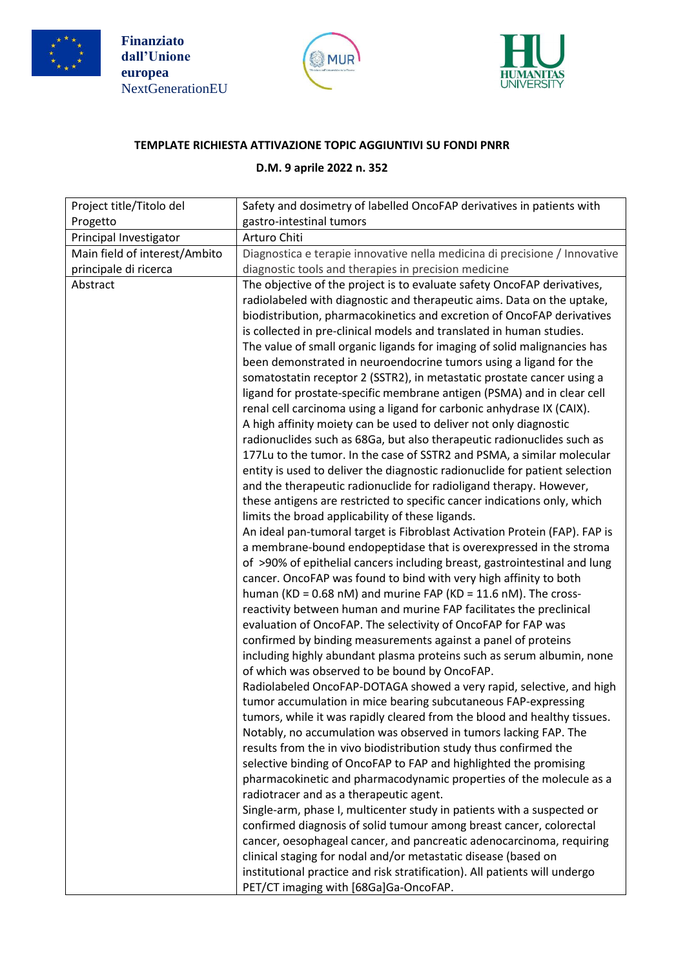





## **TEMPLATE RICHIESTA ATTIVAZIONE TOPIC AGGIUNTIVI SU FONDI PNRR**

## **D.M. 9 aprile 2022 n. 352**

| Project title/Titolo del      | Safety and dosimetry of labelled OncoFAP derivatives in patients with                                                                      |
|-------------------------------|--------------------------------------------------------------------------------------------------------------------------------------------|
| Progetto                      | gastro-intestinal tumors                                                                                                                   |
| Principal Investigator        | Arturo Chiti                                                                                                                               |
| Main field of interest/Ambito | Diagnostica e terapie innovative nella medicina di precisione / Innovative                                                                 |
| principale di ricerca         | diagnostic tools and therapies in precision medicine                                                                                       |
| Abstract                      | The objective of the project is to evaluate safety OncoFAP derivatives,                                                                    |
|                               | radiolabeled with diagnostic and therapeutic aims. Data on the uptake,                                                                     |
|                               | biodistribution, pharmacokinetics and excretion of OncoFAP derivatives                                                                     |
|                               | is collected in pre-clinical models and translated in human studies.                                                                       |
|                               | The value of small organic ligands for imaging of solid malignancies has                                                                   |
|                               | been demonstrated in neuroendocrine tumors using a ligand for the                                                                          |
|                               | somatostatin receptor 2 (SSTR2), in metastatic prostate cancer using a                                                                     |
|                               | ligand for prostate-specific membrane antigen (PSMA) and in clear cell                                                                     |
|                               | renal cell carcinoma using a ligand for carbonic anhydrase IX (CAIX).<br>A high affinity moiety can be used to deliver not only diagnostic |
|                               | radionuclides such as 68Ga, but also therapeutic radionuclides such as                                                                     |
|                               | 177Lu to the tumor. In the case of SSTR2 and PSMA, a similar molecular                                                                     |
|                               | entity is used to deliver the diagnostic radionuclide for patient selection                                                                |
|                               | and the therapeutic radionuclide for radioligand therapy. However,                                                                         |
|                               | these antigens are restricted to specific cancer indications only, which                                                                   |
|                               | limits the broad applicability of these ligands.                                                                                           |
|                               | An ideal pan-tumoral target is Fibroblast Activation Protein (FAP). FAP is                                                                 |
|                               | a membrane-bound endopeptidase that is overexpressed in the stroma                                                                         |
|                               | of >90% of epithelial cancers including breast, gastrointestinal and lung                                                                  |
|                               | cancer. OncoFAP was found to bind with very high affinity to both                                                                          |
|                               | human (KD = 0.68 nM) and murine FAP (KD = 11.6 nM). The cross-                                                                             |
|                               | reactivity between human and murine FAP facilitates the preclinical                                                                        |
|                               | evaluation of OncoFAP. The selectivity of OncoFAP for FAP was                                                                              |
|                               | confirmed by binding measurements against a panel of proteins                                                                              |
|                               | including highly abundant plasma proteins such as serum albumin, none<br>of which was observed to be bound by OncoFAP.                     |
|                               | Radiolabeled OncoFAP-DOTAGA showed a very rapid, selective, and high                                                                       |
|                               | tumor accumulation in mice bearing subcutaneous FAP-expressing                                                                             |
|                               | tumors, while it was rapidly cleared from the blood and healthy tissues.                                                                   |
|                               | Notably, no accumulation was observed in tumors lacking FAP. The                                                                           |
|                               | results from the in vivo biodistribution study thus confirmed the                                                                          |
|                               | selective binding of OncoFAP to FAP and highlighted the promising                                                                          |
|                               | pharmacokinetic and pharmacodynamic properties of the molecule as a                                                                        |
|                               | radiotracer and as a therapeutic agent.                                                                                                    |
|                               | Single-arm, phase I, multicenter study in patients with a suspected or                                                                     |
|                               | confirmed diagnosis of solid tumour among breast cancer, colorectal                                                                        |
|                               | cancer, oesophageal cancer, and pancreatic adenocarcinoma, requiring                                                                       |
|                               | clinical staging for nodal and/or metastatic disease (based on                                                                             |
|                               | institutional practice and risk stratification). All patients will undergo                                                                 |
|                               | PET/CT imaging with [68Ga]Ga-OncoFAP.                                                                                                      |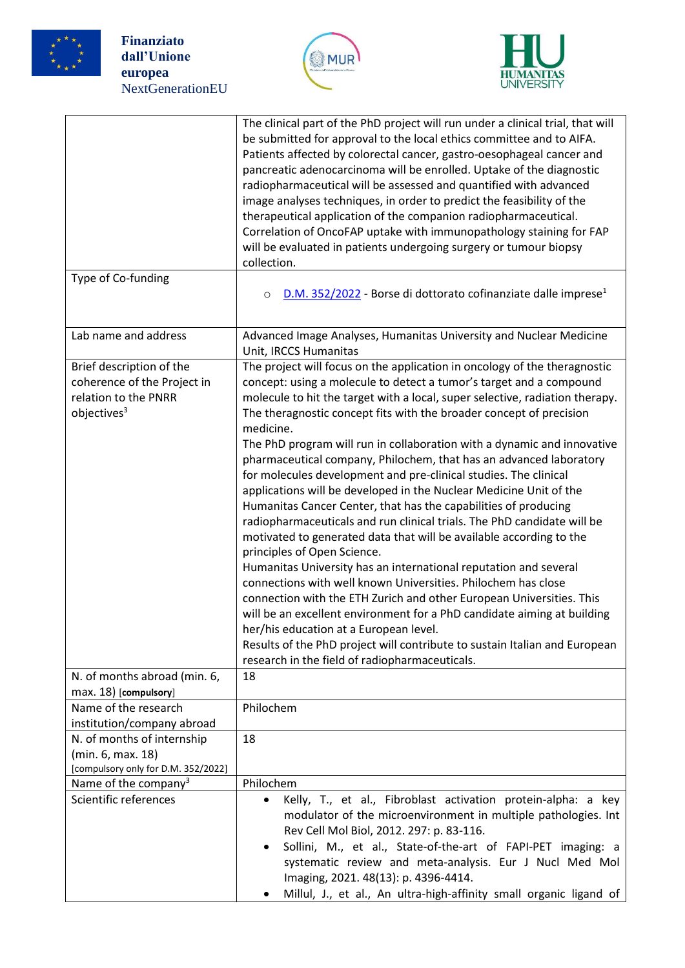

**Finanziato dall'Unione europea** NextGenerationEU





|                                                                                                            | The clinical part of the PhD project will run under a clinical trial, that will<br>be submitted for approval to the local ethics committee and to AIFA.<br>Patients affected by colorectal cancer, gastro-oesophageal cancer and<br>pancreatic adenocarcinoma will be enrolled. Uptake of the diagnostic<br>radiopharmaceutical will be assessed and quantified with advanced<br>image analyses techniques, in order to predict the feasibility of the<br>therapeutical application of the companion radiopharmaceutical.<br>Correlation of OncoFAP uptake with immunopathology staining for FAP<br>will be evaluated in patients undergoing surgery or tumour biopsy<br>collection.                                                                                                                                                                                                                                                                                                                                                                                                                                                                                                                                                                                                                                                  |
|------------------------------------------------------------------------------------------------------------|---------------------------------------------------------------------------------------------------------------------------------------------------------------------------------------------------------------------------------------------------------------------------------------------------------------------------------------------------------------------------------------------------------------------------------------------------------------------------------------------------------------------------------------------------------------------------------------------------------------------------------------------------------------------------------------------------------------------------------------------------------------------------------------------------------------------------------------------------------------------------------------------------------------------------------------------------------------------------------------------------------------------------------------------------------------------------------------------------------------------------------------------------------------------------------------------------------------------------------------------------------------------------------------------------------------------------------------|
| Type of Co-funding                                                                                         | D.M. 352/2022 - Borse di dottorato cofinanziate dalle imprese <sup>1</sup><br>$\circ$                                                                                                                                                                                                                                                                                                                                                                                                                                                                                                                                                                                                                                                                                                                                                                                                                                                                                                                                                                                                                                                                                                                                                                                                                                                 |
| Lab name and address                                                                                       | Advanced Image Analyses, Humanitas University and Nuclear Medicine<br>Unit, IRCCS Humanitas                                                                                                                                                                                                                                                                                                                                                                                                                                                                                                                                                                                                                                                                                                                                                                                                                                                                                                                                                                                                                                                                                                                                                                                                                                           |
| Brief description of the<br>coherence of the Project in<br>relation to the PNRR<br>objectives <sup>3</sup> | The project will focus on the application in oncology of the theragnostic<br>concept: using a molecule to detect a tumor's target and a compound<br>molecule to hit the target with a local, super selective, radiation therapy.<br>The theragnostic concept fits with the broader concept of precision<br>medicine.<br>The PhD program will run in collaboration with a dynamic and innovative<br>pharmaceutical company, Philochem, that has an advanced laboratory<br>for molecules development and pre-clinical studies. The clinical<br>applications will be developed in the Nuclear Medicine Unit of the<br>Humanitas Cancer Center, that has the capabilities of producing<br>radiopharmaceuticals and run clinical trials. The PhD candidate will be<br>motivated to generated data that will be available according to the<br>principles of Open Science.<br>Humanitas University has an international reputation and several<br>connections with well known Universities. Philochem has close<br>connection with the ETH Zurich and other European Universities. This<br>will be an excellent environment for a PhD candidate aiming at building<br>her/his education at a European level.<br>Results of the PhD project will contribute to sustain Italian and European<br>research in the field of radiopharmaceuticals. |
| N. of months abroad (min. 6,<br>max. 18) [compulsory]                                                      | 18                                                                                                                                                                                                                                                                                                                                                                                                                                                                                                                                                                                                                                                                                                                                                                                                                                                                                                                                                                                                                                                                                                                                                                                                                                                                                                                                    |
| Name of the research<br>institution/company abroad                                                         | Philochem                                                                                                                                                                                                                                                                                                                                                                                                                                                                                                                                                                                                                                                                                                                                                                                                                                                                                                                                                                                                                                                                                                                                                                                                                                                                                                                             |
| N. of months of internship<br>(min. 6, max. 18)<br>[compulsory only for D.M. 352/2022]                     | 18                                                                                                                                                                                                                                                                                                                                                                                                                                                                                                                                                                                                                                                                                                                                                                                                                                                                                                                                                                                                                                                                                                                                                                                                                                                                                                                                    |
| Name of the company <sup>3</sup><br>Scientific references                                                  | Philochem<br>Kelly, T., et al., Fibroblast activation protein-alpha: a key<br>$\bullet$<br>modulator of the microenvironment in multiple pathologies. Int<br>Rev Cell Mol Biol, 2012. 297: p. 83-116.<br>Sollini, M., et al., State-of-the-art of FAPI-PET imaging: a<br>systematic review and meta-analysis. Eur J Nucl Med Mol<br>Imaging, 2021. 48(13): p. 4396-4414.<br>Millul, J., et al., An ultra-high-affinity small organic ligand of                                                                                                                                                                                                                                                                                                                                                                                                                                                                                                                                                                                                                                                                                                                                                                                                                                                                                        |